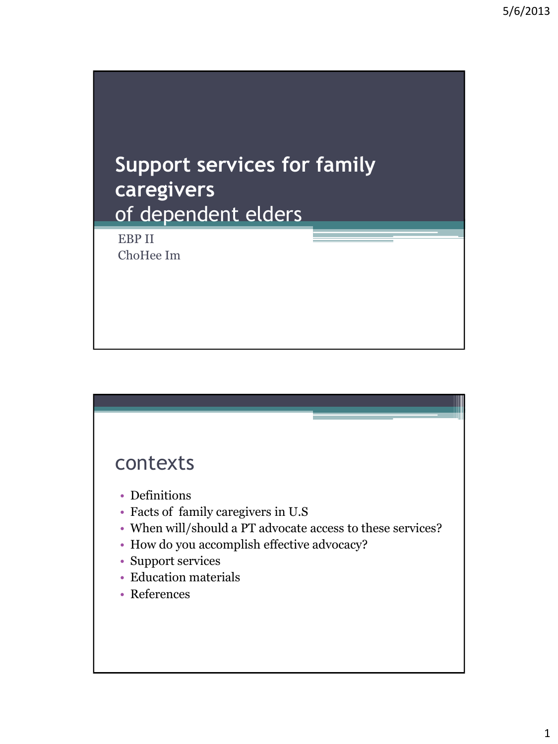



- Definitions
- Facts of family caregivers in U.S
- When will/should a PT advocate access to these services?
- How do you accomplish effective advocacy?
- Support services
- Education materials
- References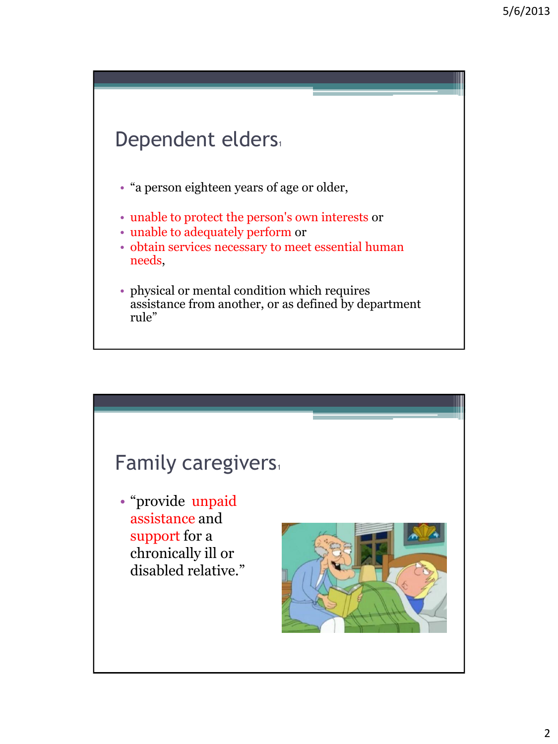# Dependent elders

- "a person eighteen years of age or older,
- unable to protect the person's own interests or
- unable to adequately perform or
- obtain services necessary to meet essential human needs,
- physical or mental condition which requires assistance from another, or as defined by department rule"

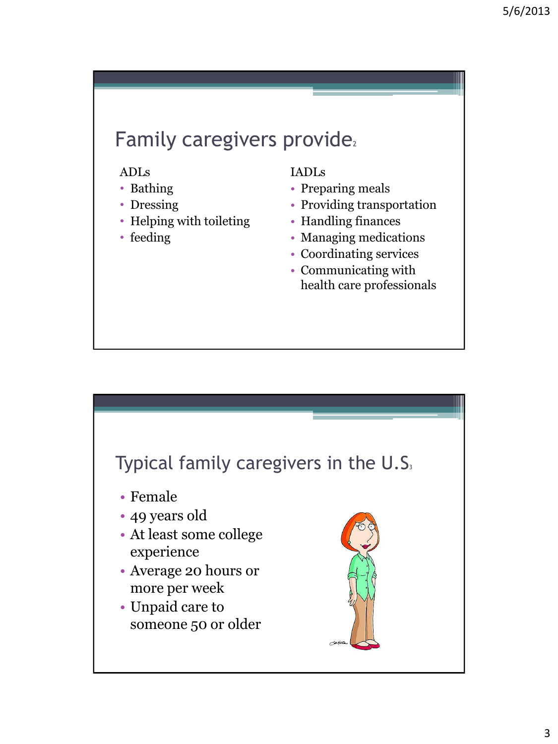# Family caregivers provide.

### ADLs

- Bathing
- Dressing
- Helping with toileting
- feeding

### IADLs

- Preparing meals
- Providing transportation
- Handling finances
- Managing medications
- Coordinating services
- Communicating with health care professionals

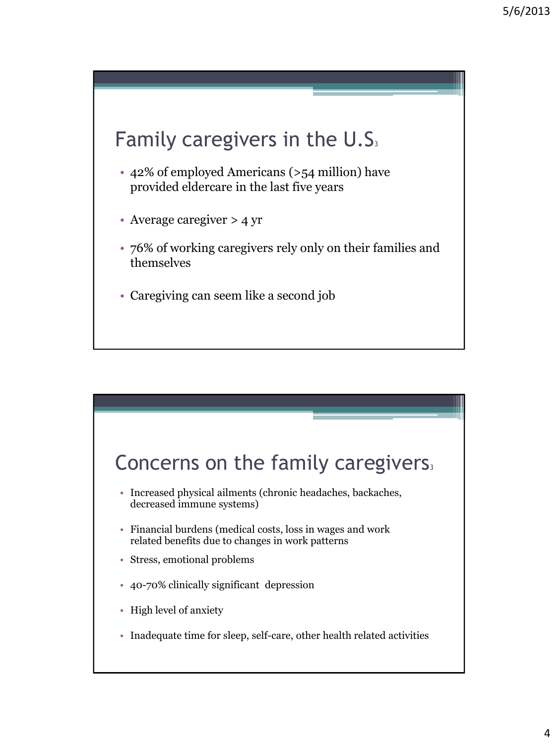# Family caregivers in the  $U.S<sub>3</sub>$

- 42% of employed Americans (>54 million) have provided eldercare in the last five years
- Average caregiver > 4 yr
- 76% of working caregivers rely only on their families and themselves
- Caregiving can seem like a second job

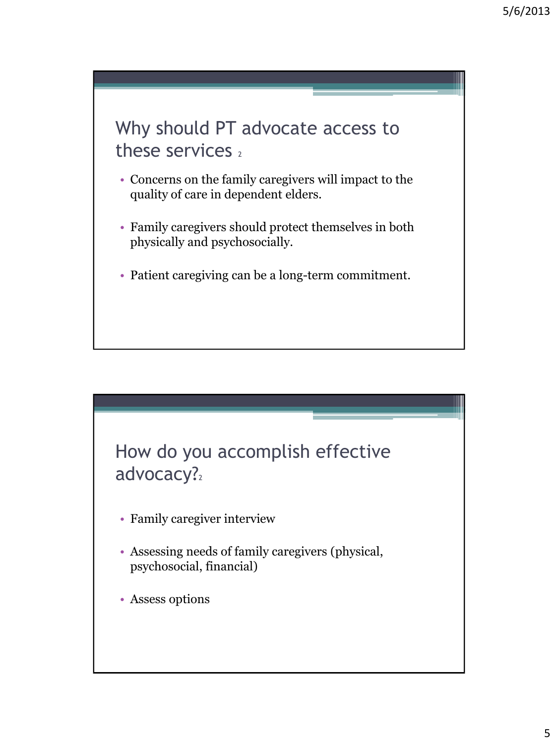Why should PT advocate access to these services  $2$ 

- Concerns on the family caregivers will impact to the quality of care in dependent elders.
- Family caregivers should protect themselves in both physically and psychosocially.
- Patient caregiving can be a long-term commitment.



- Family caregiver interview
- Assessing needs of family caregivers (physical, psychosocial, financial)
- Assess options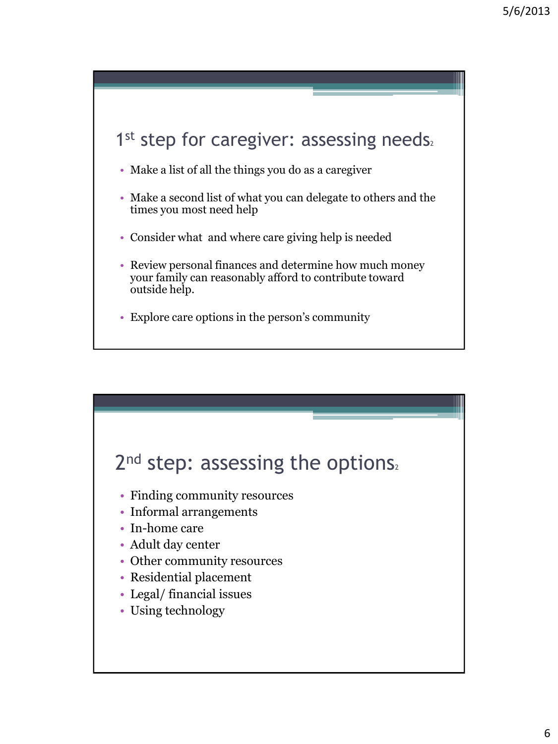

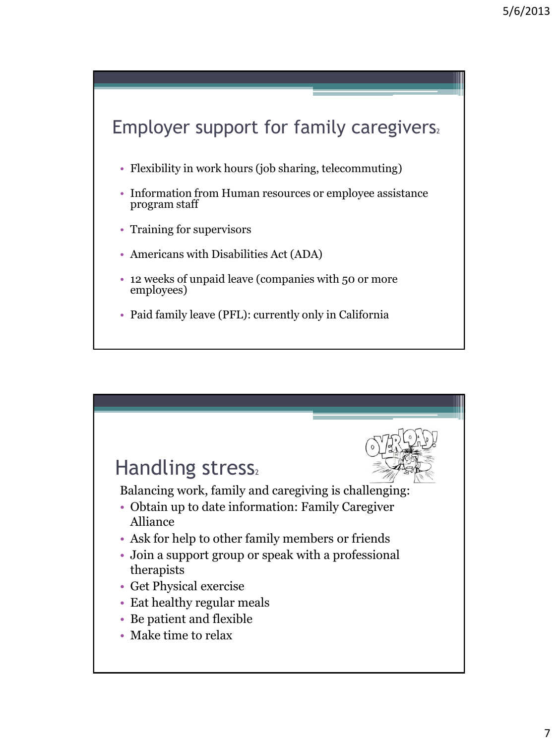

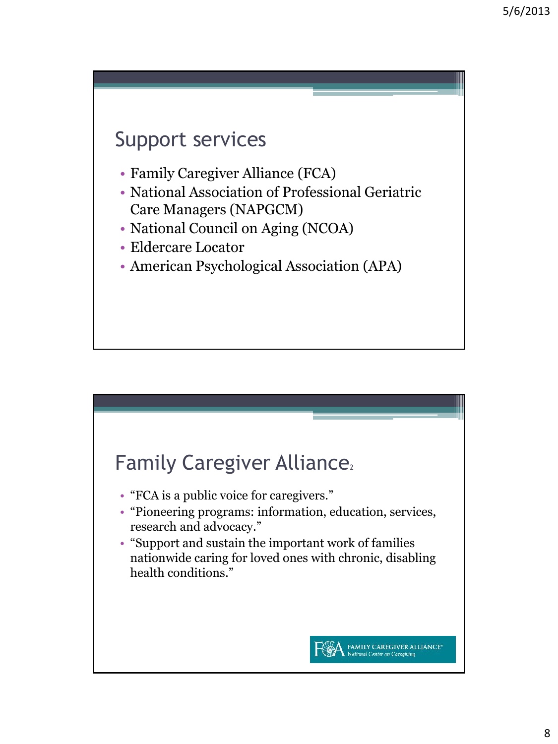## Support services

- Family Caregiver Alliance (FCA)
- National Association of Professional Geriatric Care Managers (NAPGCM)
- National Council on Aging (NCOA)
- Eldercare Locator
- American Psychological Association (APA)

### Family Caregiver Alliance<sup>2</sup>

- "FCA is a public voice for caregivers."
- "Pioneering programs: information, education, services, research and advocacy."
- "Support and sustain the important work of families nationwide caring for loved ones with chronic, disabling health conditions."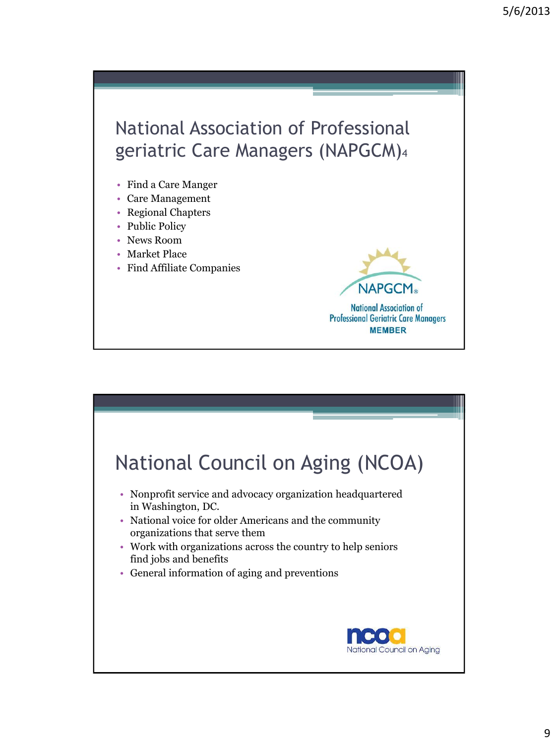# National Association of Professional geriatric Care Managers (NAPGCM)<sup>4</sup>

- Find a Care Manger
- Care Management
- Regional Chapters
- Public Policy
- News Room
- Market Place
- Find Affiliate Companies

**National Association of Professional Geriatric Care Managers MEMBER** 

**NAPGC** 

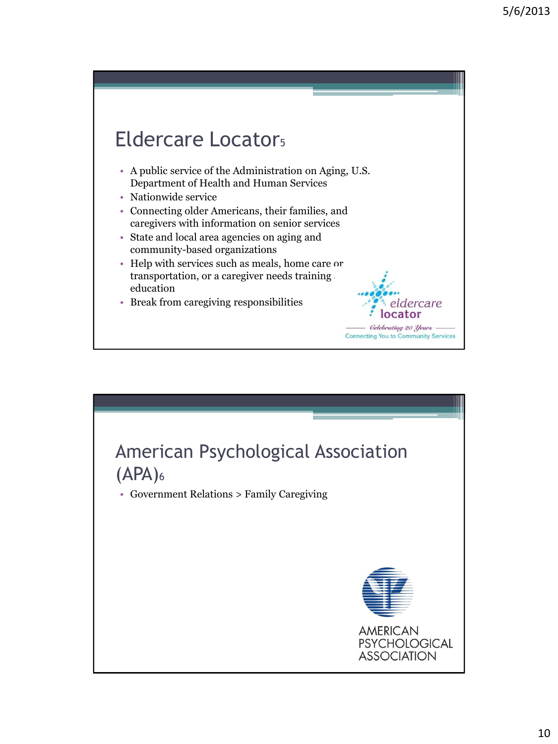### Eldercare Locator<sub>5</sub> • A public service of the Administration on Aging, U.S. Department of Health and Human Services • Nationwide service • Connecting older Americans, their families, and caregivers with information on senior services • State and local area agencies on aging and community-based organizations • Help with services such as meals, home care or transportation, or a caregiver needs training education • Break from caregiving responsibilities dercare **Gelebrating 20 Years Connecting You to Community Services**